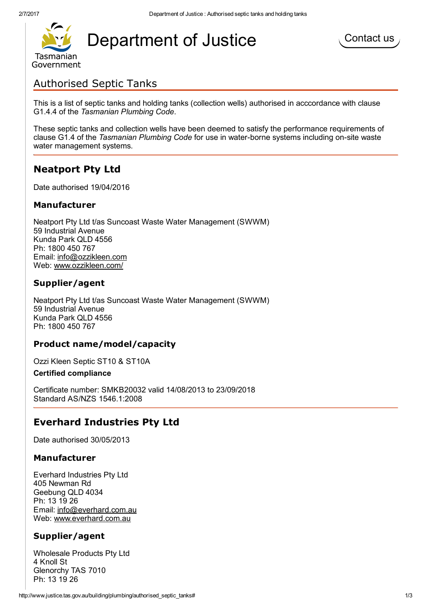

# [D](http://www.tas.gov.au/)epartment of Justice



# Authorised Septic Tanks

This is a list of septic tanks and holding tanks (collection wells) authorised in acccordance with clause G1.4.4 of the Tasmanian Plumbing Code.

These septic tanks and collection wells have been deemed to satisfy the performance requirements of clause G1.4 of the Tasmanian Plumbing Code for use in water-borne systems including on-site waste water management systems.

# Neatport Pty Ltd

Date authorised 19/04/2016

#### Manufacturer

Neatport Pty Ltd t/as Suncoast Waste Water Management (SWWM) 59 Industrial Avenue Kunda Park QLD 4556 Ph: 1800 450 767 Email: [info@ozzikleen.com](mailto:info@ozzikleen.com) Web: [www.ozzikleen.com/](http://www.ozzikleen.com/)

# Supplier/agent

Neatport Pty Ltd t/as Suncoast Waste Water Management (SWWM) 59 Industrial Avenue Kunda Park QLD 4556 Ph: 1800 450 767

# Product name/model/capacity

Ozzi Kleen Septic ST10 & ST10A

#### Certified compliance

Certificate number: SMKB20032 valid 14/08/2013 to 23/09/2018 Standard AS/NZS 1546.1:2008

# Everhard Industries Pty Ltd

Date authorised 30/05/2013

# Manufacturer

Everhard Industries Pty Ltd 405 Newman Rd Geebung QLD 4034 Ph: 13 19 26 Email: [info@everhard.com.au](mailto:info@everhard.com.au) Web: [www.everhard.com.au](http://www.everhard.com.au/)

# Supplier/agent

Wholesale Products Pty Ltd 4 Knoll St Glenorchy TAS 7010 Ph: 13 19 26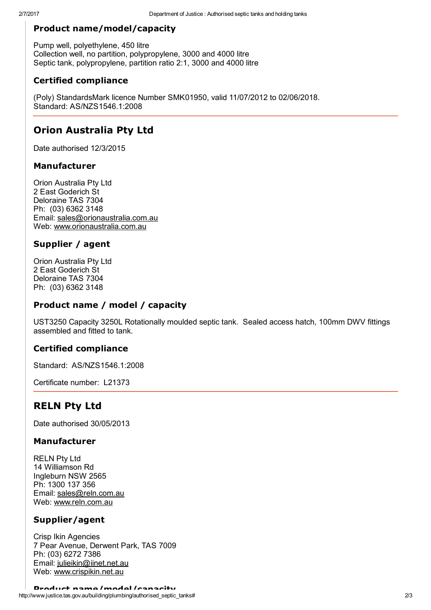# Product name/model/capacity

Pump well, polyethylene, 450 litre Collection well, no partition, polypropylene, 3000 and 4000 litre Septic tank, polypropylene, partition ratio 2:1, 3000 and 4000 litre

# Certified compliance

(Poly) StandardsMark licence Number SMK01950, valid 11/07/2012 to 02/06/2018. Standard: AS/NZS1546.1:2008

# Orion Australia Pty Ltd

Date authorised 12/3/2015

# Manufacturer

Orion Australia Pty Ltd 2 East Goderich St Deloraine TAS 7304 Ph: (03) 6362 3148 Email: [sales@orionaustralia.com.au](mailto:sales@orionaustralia.com.au) Web: [www.orionaustralia.com.au](http://www.orionaustralia.com.au/)

# Supplier / agent

Orion Australia Pty Ltd 2 East Goderich St Deloraine TAS 7304 Ph: (03) 6362 3148

# Product name / model / capacity

UST3250 Capacity 3250L Rotationally moulded septic tank. Sealed access hatch, 100mm DWV fittings assembled and fitted to tank.

# Certified compliance

Standard: AS/NZS1546.1:2008

Certificate number: L21373

# RELN Pty Ltd

Date authorised 30/05/2013

# Manufacturer

RELN Pty Ltd 14 Williamson Rd Ingleburn NSW 2565 Ph: 1300 137 356 Email: [sales@reln.com.au](mailto:sales@reln.com.au) Web: [www.reln.com.au](http://www.reln.com.au/)

# Supplier/agent

Crisp Ikin Agencies 7 Pear Avenue, Derwent Park, TAS 7009 Ph: (03) 6272 7386 Email: [julieikin@iinet.net.au](mailto:julieikin@iinet.net.au) Web: [www.crispikin.net.au](http://www.crispikin.net.au/)